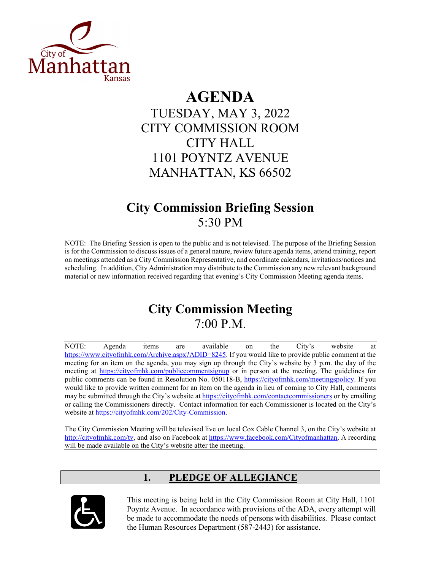

# **AGENDA**

## TUESDAY, MAY 3, 2022 CITY COMMISSION ROOM CITY HALL 1101 POYNTZ AVENUE MANHATTAN, KS 66502

## **City Commission Briefing Session** 5:30 PM

NOTE: The Briefing Session is open to the public and is not televised. The purpose of the Briefing Session is for the Commission to discuss issues of a general nature, review future agenda items, attend training, report on meetings attended as a City Commission Representative, and coordinate calendars, invitations/notices and scheduling. In addition, City Administration may distribute to the Commission any new relevant background material or new information received regarding that evening's City Commission Meeting agenda items.

## **City Commission Meeting** 7:00 P.M.

NOTE: Agenda items are available on the City's website at [https://www.cityofmhk.com/Archive.aspx?ADID=8245.](https://www.cityofmhk.com/Archive.aspx?ADID=8245) If you would like to provide public comment at the meeting for an item on the agenda, you may sign up through the City's website by 3 p.m. the day of the meeting at<https://cityofmhk.com/publiccommentsignup> or in person at the meeting. The guidelines for public comments can be found in Resolution No. 050118-B, [https://cityofmhk.com/meetingspolicy.](https://cityofmhk.com/meetingspolicy) If you would like to provide written comment for an item on the agenda in lieu of coming to City Hall, comments may be submitted through the City's website at<https://cityofmhk.com/contactcommissioners> or by emailing or calling the Commissioners directly. Contact information for each Commissioner is located on the City's website at [https://cityofmhk.com/202/City-Commission.](https://cityofmhk.com/202/City-Commission)

The City Commission Meeting will be televised live on local Cox Cable Channel 3, on the City's website at [http://cityofmhk.com/tv,](http://cityofmhk.com/tv) and also on Facebook at [https://www.facebook.com/Cityofmanhattan.](https://www.facebook.com/Cityofmanhattan) A recording will be made available on the City's website after the meeting.

## **1. PLEDGE OF ALLEGIANCE**



This meeting is being held in the City Commission Room at City Hall, 1101 Poyntz Avenue. In accordance with provisions of the ADA, every attempt will be made to accommodate the needs of persons with disabilities. Please contact the Human Resources Department (587-2443) for assistance.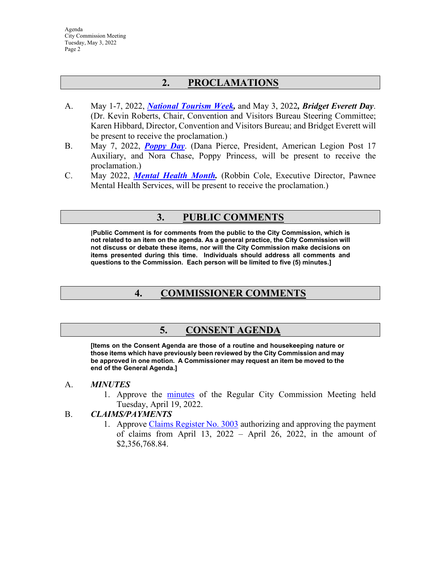## **2. PROCLAMATIONS**

- A. May 1-7, 2022, *[National Tourism Week,](https://manhattanks.sharepoint.com/:b:/s/CommissionPacket/EYCMEet0HnxEvOsL8GFG8m8Brbozr6g7QEjHSBMSq-Mt4Q?e=VH4q7S)* and May 3, 2022*, Bridget Everett Day*. (Dr. Kevin Roberts, Chair, Convention and Visitors Bureau Steering Committee; Karen Hibbard, Director, Convention and Visitors Bureau; and Bridget Everett will be present to receive the proclamation.)
- B. May 7, 2022, *[Poppy Day](https://manhattanks.sharepoint.com/:b:/s/CommissionPacket/ESazU0EXTnhGlvvriHfIVKgBwgvR7_vofUzmV7KsXNA8IQ?e=DVsnLk)*. (Dana Pierce, President, American Legion Post 17 Auxiliary, and Nora Chase, Poppy Princess, will be present to receive the proclamation.)
- C. May 2022, *[Mental Health Month.](https://manhattanks.sharepoint.com/:b:/s/CommissionPacket/ESlevMhdHvdAtc-v2HOUEk0BNgGofGkhVcezO-dhZptaIQ?e=y8UqpM)* (Robbin Cole, Executive Director, Pawnee Mental Health Services, will be present to receive the proclamation.)

## **3. PUBLIC COMMENTS**

**[Public Comment is for comments from the public to the City Commission, which is not related to an item on the agenda. As a general practice, the City Commission will not discuss or debate these items, nor will the City Commission make decisions on items presented during this time. Individuals should address all comments and questions to the Commission. Each person will be limited to five (5) minutes.]** 

## **4. COMMISSIONER COMMENTS**

### **5. CONSENT AGENDA**

**[Items on the Consent Agenda are those of a routine and housekeeping nature or those items which have previously been reviewed by the City Commission and may be approved in one motion. A Commissioner may request an item be moved to the end of the General Agenda.]** 

#### A. *MINUTES*

1. Approve the [minutes](https://manhattanks.sharepoint.com/:b:/s/CommissionPacket/EQafFV-CR39OsCZ-sE4xeHEB37CZ1h4P9LITJKuXuboiLA?e=2mpgcJ) of the Regular City Commission Meeting held Tuesday, April 19, 2022.

#### B. *CLAIMS/PAYMENTS*

1. Approve [Claims Register No. 3003](https://manhattanks.sharepoint.com/:b:/s/CommissionPacket/EauEbVWrWiVGoUDZFnvtD6QBTRhS00nlPoj4quFM2C6v0A?e=Vdi9Mp) authorizing and approving the payment of claims from April 13, 2022 – April 26, 2022, in the amount of \$2,356,768.84.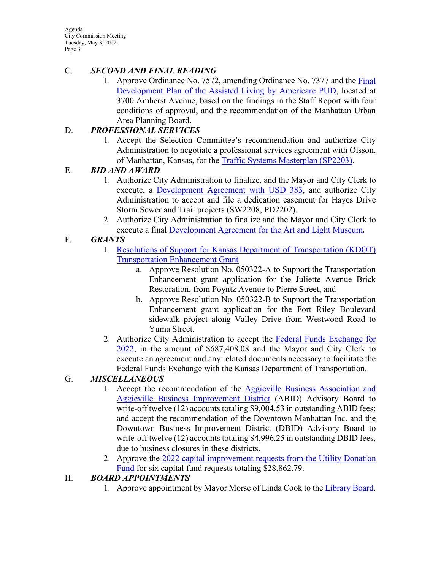Agenda City Commission Meeting Tuesday, May 3, 2022 Page 3

#### C. *SECOND AND FINAL READING*

1. Approve Ordinance No. 7572, amending Ordinance No. 7377 and the [Final](https://manhattanks.sharepoint.com/:b:/s/CommissionPacket/ETW8fTvX4jxJg4McYyQRjDkBLxKU84Q4WWfnxNZQ-bvw7Q?e=WWeFpd)  [Development Plan of the Assisted Living by Americare PUD,](https://manhattanks.sharepoint.com/:b:/s/CommissionPacket/ETW8fTvX4jxJg4McYyQRjDkBLxKU84Q4WWfnxNZQ-bvw7Q?e=WWeFpd) located at 3700 Amherst Avenue, based on the findings in the Staff Report with four conditions of approval, and the recommendation of the Manhattan Urban Area Planning Board.

#### D. *PROFESSIONAL SERVICES*

1. Accept the Selection Committee's recommendation and authorize City Administration to negotiate a professional services agreement with Olsson, of Manhattan, Kansas, for the [Traffic Systems Masterplan \(SP2203\).](https://manhattanks.sharepoint.com/:b:/s/CommissionPacket/EdE55UWNYbVKq8Dgn3bCGyEB9-XuvnuyvRUef6_N75wiWw?e=SC1vuw)

#### E. *BID AND AWARD*

- 1. Authorize City Administration to finalize, and the Mayor and City Clerk to execute, a [Development Agreement with USD 383,](https://manhattanks.sharepoint.com/:b:/s/CommissionPacket/ES6NHBKC2QRFi9J3rPPIX3QB41iypvkaID6zAIHlbcBexw?e=kwz8dh) and authorize City Administration to accept and file a dedication easement for Hayes Drive Storm Sewer and Trail projects (SW2208, PD2202).
- 2. Authorize City Administration to finalize and the Mayor and City Clerk to execute a final [Development Agreement for the Art and Light Museum](https://manhattanks.sharepoint.com/:b:/s/CommissionPacket/ER0w0KtaxKJAuV9kyG-KQv8Bk54OndH0P-EZY89hpxlq7Q?e=5ioTCk)*.*

### F. *GRANTS*

- 1. Resolutions of Support for [Kansas Department of Transportation \(KDOT\)](https://manhattanks.sharepoint.com/:b:/s/CommissionPacket/Ecn7m7SCVLZMkoVkm4DHigwBa23XcAdcuYECHw5thgkTgQ?e=0s4QMM)  [Transportation Enhancement Grant](https://manhattanks.sharepoint.com/:b:/s/CommissionPacket/Ecn7m7SCVLZMkoVkm4DHigwBa23XcAdcuYECHw5thgkTgQ?e=0s4QMM)
	- a. Approve Resolution No. 050322-A to Support the Transportation Enhancement grant application for the Juliette Avenue Brick Restoration, from Poyntz Avenue to Pierre Street, and
	- b. Approve Resolution No. 050322-B to Support the Transportation Enhancement grant application for the Fort Riley Boulevard sidewalk project along Valley Drive from Westwood Road to Yuma Street.
- 2. Authorize City Administration to accept the [Federal Funds Exchange for](https://manhattanks.sharepoint.com/:b:/s/CommissionPacket/EctHAjfrfs5MuUSIsdsiOLABsaL9_yA8y130E0KkiAZmPg?e=MKJ0uL)  [2022,](https://manhattanks.sharepoint.com/:b:/s/CommissionPacket/EctHAjfrfs5MuUSIsdsiOLABsaL9_yA8y130E0KkiAZmPg?e=MKJ0uL) in the amount of \$687,408.08 and the Mayor and City Clerk to execute an agreement and any related documents necessary to facilitate the Federal Funds Exchange with the Kansas Department of Transportation.

### G. *MISCELLANEOUS*

- 1. Accept the recommendation of the [Aggieville Business Association and](https://manhattanks.sharepoint.com/:b:/s/CommissionPacket/EY583ksa2RlOuNplUuJxnIAByf1TFYKLZ7_Nj4MI2CxEnQ?e=rZcmZP)  [Aggieville Business Improvement District](https://manhattanks.sharepoint.com/:b:/s/CommissionPacket/EY583ksa2RlOuNplUuJxnIAByf1TFYKLZ7_Nj4MI2CxEnQ?e=rZcmZP) (ABID) Advisory Board to write-off twelve (12) accounts totaling \$9,004.53 in outstanding ABID fees; and accept the recommendation of the Downtown Manhattan Inc. and the Downtown Business Improvement District (DBID) Advisory Board to write-off twelve (12) accounts totaling \$4,996.25 in outstanding DBID fees, due to business closures in these districts.
- 2. Approve the [2022 capital improvement requests from the Utility Donation](https://manhattanks.sharepoint.com/:b:/s/CommissionPacket/Eb_e6F8ERfxInV5G9egFu8oBw1Ma0xy9eY1hhdrkJok9Cw?e=aYncOc)  [Fund](https://manhattanks.sharepoint.com/:b:/s/CommissionPacket/Eb_e6F8ERfxInV5G9egFu8oBw1Ma0xy9eY1hhdrkJok9Cw?e=aYncOc) for six capital fund requests totaling \$28,862.79.

#### H. *BOARD APPOINTMENTS*

1. Approve appointment by Mayor Morse of Linda Cook to the [Library Board.](https://manhattanks.sharepoint.com/:b:/s/CommissionPacket/ET7fjagxAvpJgkllbGQgUocBaDHpMe9LQ6xfcRKukEEMbQ?e=aSFF9K)